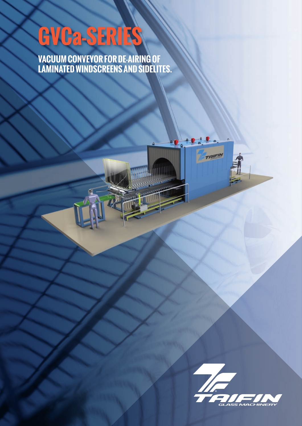## **GVCa-SERIES**

**VACUUM CONVEYOR FOR DE-AIRING OF LAMINATED WINDSCREENS AND SIDELITES.**



**AIFIN**